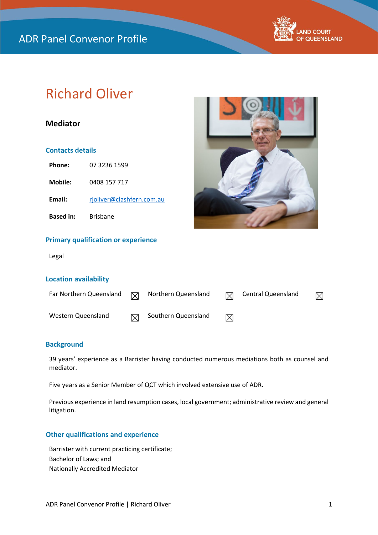

# Richard Oliver

# **Mediator**

## **Contacts details**

| Phone:           | 07 3236 1599              |
|------------------|---------------------------|
| Mobile:          | 0408 157 717              |
| Email:           | rjoliver@clashfern.com.au |
| <b>Based in:</b> | <b>Brisbane</b>           |

## **Primary qualification or experience**

Legal

## **Location availability**

| Far Northern Queensland | ⊠ | Northern Queensland | 冈 | <b>Central Queensland</b> |  |
|-------------------------|---|---------------------|---|---------------------------|--|
| Western Queensland      |   | Southern Queensland | ⊠ |                           |  |

## **Background**

39 years' experience as a Barrister having conducted numerous mediations both as counsel and mediator.

Five years as a Senior Member of QCT which involved extensive use of ADR.

Previous experience in land resumption cases, local government; administrative review and general litigation.

### **Other qualifications and experience**

Barrister with current practicing certificate; Bachelor of Laws; and Nationally Accredited Mediator